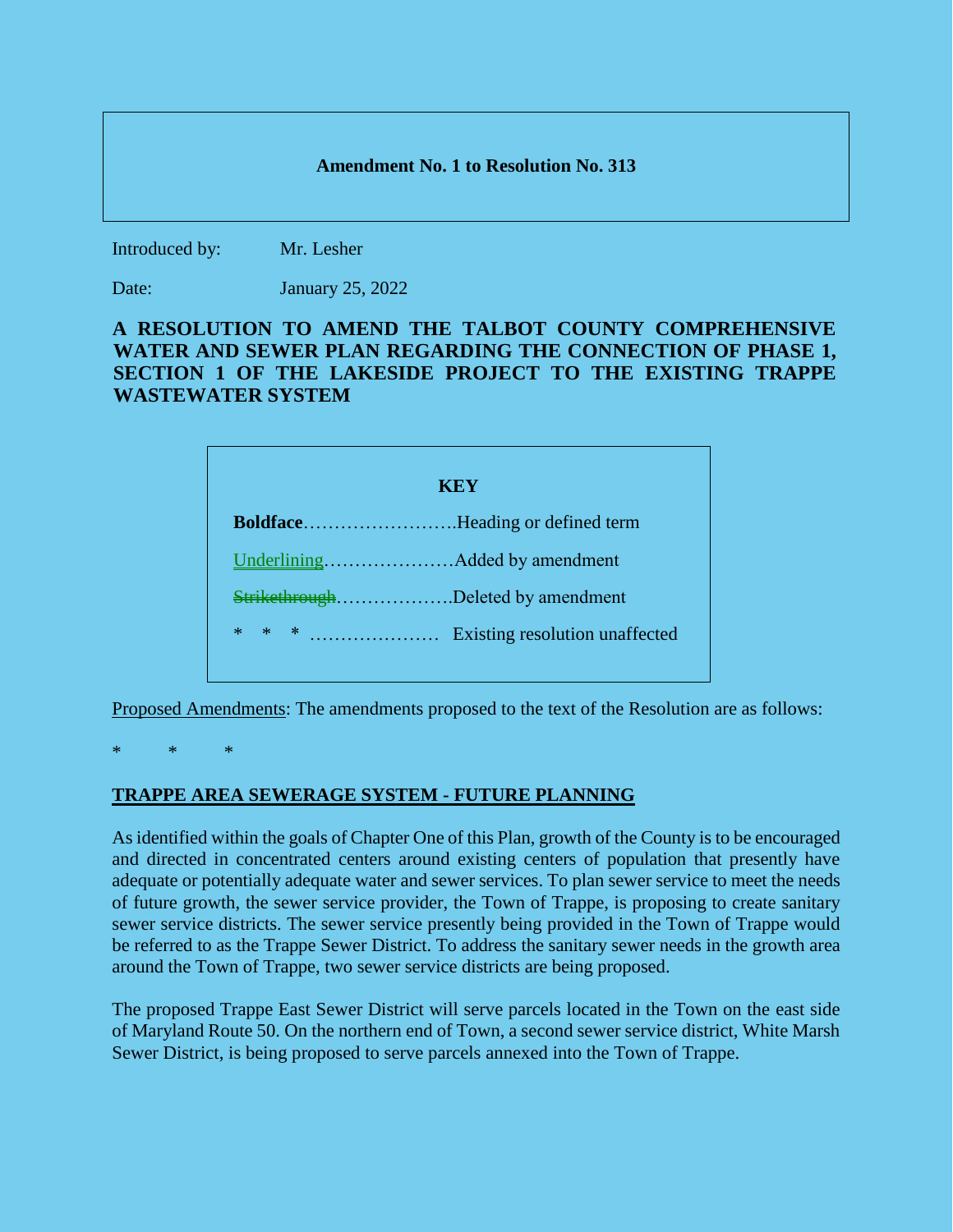## **Amendment No. 1 to Resolution No. 313**

Introduced by: Mr. Lesher

Date: January 25, 2022

## **A RESOLUTION TO AMEND THE TALBOT COUNTY COMPREHENSIVE WATER AND SEWER PLAN REGARDING THE CONNECTION OF PHASE 1, SECTION 1 OF THE LAKESIDE PROJECT TO THE EXISTING TRAPPE WASTEWATER SYSTEM**

| KEY                               |  |
|-----------------------------------|--|
| BoldfaceHeading or defined term   |  |
|                                   |  |
| StrikethroughDeleted by amendment |  |
| $*$                               |  |

Proposed Amendments: The amendments proposed to the text of the Resolution are as follows:

\* \* \*

## **TRAPPE AREA SEWERAGE SYSTEM - FUTURE PLANNING**

As identified within the goals of Chapter One of this Plan, growth of the County is to be encouraged and directed in concentrated centers around existing centers of population that presently have adequate or potentially adequate water and sewer services. To plan sewer service to meet the needs of future growth, the sewer service provider, the Town of Trappe, is proposing to create sanitary sewer service districts. The sewer service presently being provided in the Town of Trappe would be referred to as the Trappe Sewer District. To address the sanitary sewer needs in the growth area around the Town of Trappe, two sewer service districts are being proposed.

The proposed Trappe East Sewer District will serve parcels located in the Town on the east side of Maryland Route 50. On the northern end of Town, a second sewer service district, White Marsh Sewer District, is being proposed to serve parcels annexed into the Town of Trappe.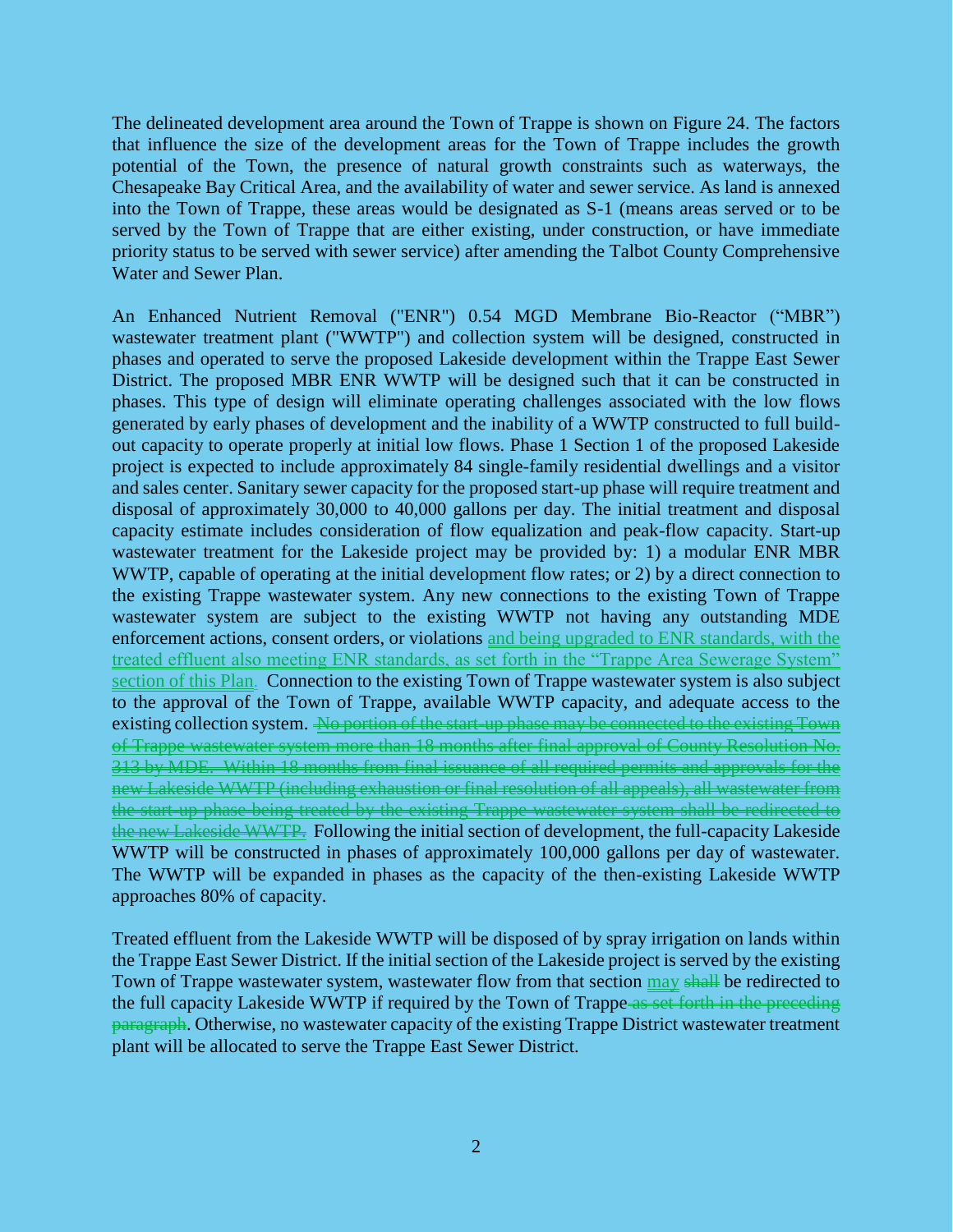The delineated development area around the Town of Trappe is shown on Figure 24. The factors that influence the size of the development areas for the Town of Trappe includes the growth potential of the Town, the presence of natural growth constraints such as waterways, the Chesapeake Bay Critical Area, and the availability of water and sewer service. As land is annexed into the Town of Trappe, these areas would be designated as S-1 (means areas served or to be served by the Town of Trappe that are either existing, under construction, or have immediate priority status to be served with sewer service) after amending the Talbot County Comprehensive Water and Sewer Plan.

An Enhanced Nutrient Removal ("ENR") 0.54 MGD Membrane Bio-Reactor ("MBR") wastewater treatment plant ("WWTP") and collection system will be designed, constructed in phases and operated to serve the proposed Lakeside development within the Trappe East Sewer District. The proposed MBR ENR WWTP will be designed such that it can be constructed in phases. This type of design will eliminate operating challenges associated with the low flows generated by early phases of development and the inability of a WWTP constructed to full buildout capacity to operate properly at initial low flows. Phase 1 Section 1 of the proposed Lakeside project is expected to include approximately 84 single-family residential dwellings and a visitor and sales center. Sanitary sewer capacity for the proposed start-up phase will require treatment and disposal of approximately 30,000 to 40,000 gallons per day. The initial treatment and disposal capacity estimate includes consideration of flow equalization and peak-flow capacity. Start-up wastewater treatment for the Lakeside project may be provided by: 1) a modular ENR MBR WWTP, capable of operating at the initial development flow rates; or 2) by a direct connection to the existing Trappe wastewater system. Any new connections to the existing Town of Trappe wastewater system are subject to the existing WWTP not having any outstanding MDE enforcement actions, consent orders, or violations and being upgraded to ENR standards, with the treated effluent also meeting ENR standards, as set forth in the "Trappe Area Sewerage System" section of this Plan. Connection to the existing Town of Trappe wastewater system is also subject to the approval of the Town of Trappe, available WWTP capacity, and adequate access to the existing collection system. No portion of the start-up phase may be connected to the existing Town of Trappe wastewater system more than 18 months after final approval of County Resolution No. 313 by MDE. Within 18 months from final issuance of all required permits and approvals for the new Lakeside WWTP (including exhaustion or final resolution of all appeals), all wastewater from the start-up phase being treated by the existing Trappe wastewater system shall be redirected to the new Lakeside WWTP. Following the initial section of development, the full-capacity Lakeside WWTP will be constructed in phases of approximately 100,000 gallons per day of wastewater. The WWTP will be expanded in phases as the capacity of the then-existing Lakeside WWTP approaches 80% of capacity.

Treated effluent from the Lakeside WWTP will be disposed of by spray irrigation on lands within the Trappe East Sewer District. If the initial section of the Lakeside project is served by the existing Town of Trappe wastewater system, wastewater flow from that section may shall be redirected to the full capacity Lakeside WWTP if required by the Town of Trappe as set forth in the preceding paragraph. Otherwise, no wastewater capacity of the existing Trappe District wastewater treatment plant will be allocated to serve the Trappe East Sewer District.